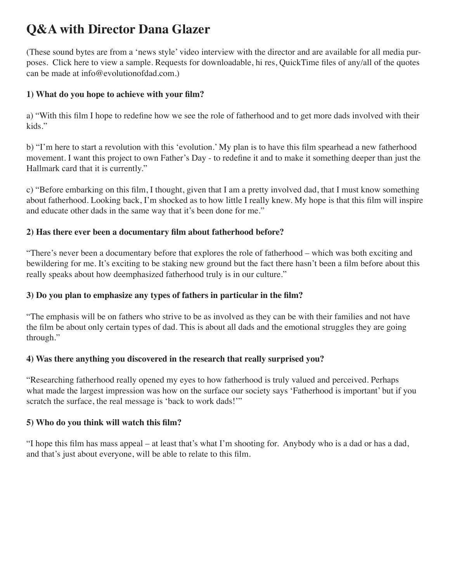# **Q&A with Director Dana Glazer**

(These sound bytes are from a 'news style' video interview with the director and are available for all media purposes. Click here to view a sample. Requests for downloadable, hi res, QuickTime files of any/all of the quotes can be made at info@evolutionofdad.com.)

## **1) What do you hope to achieve with your film?**

a) "With this film I hope to redefine how we see the role of fatherhood and to get more dads involved with their kids."

b) "I'm here to start a revolution with this 'evolution.' My plan is to have this film spearhead a new fatherhood movement. I want this project to own Father's Day - to redefine it and to make it something deeper than just the Hallmark card that it is currently."

c) "Before embarking on this film, I thought, given that I am a pretty involved dad, that I must know something about fatherhood. Looking back, I'm shocked as to how little I really knew. My hope is that this film will inspire and educate other dads in the same way that it's been done for me."

## 2) Has there ever been a documentary film about fatherhood before?

"There's never been a documentary before that explores the role of fatherhood – which was both exciting and bewildering for me. It's exciting to be staking new ground but the fact there hasn't been a film before about this really speaks about how deemphasized fatherhood truly is in our culture."

## **3)** Do you plan to emphasize any types of fathers in particular in the film?

"The emphasis will be on fathers who strive to be as involved as they can be with their families and not have the film be about only certain types of dad. This is about all dads and the emotional struggles they are going through."

# **4) Was there anything you discovered in the research that really surprised you?**

"Researching fatherhood really opened my eyes to how fatherhood is truly valued and perceived. Perhaps what made the largest impression was how on the surface our society says 'Fatherhood is important' but if you scratch the surface, the real message is 'back to work dads!'"

#### **5)** Who do you think will watch this film?

"I hope this film has mass appeal – at least that's what I'm shooting for. Anybody who is a dad or has a dad, and that's just about everyone, will be able to relate to this film.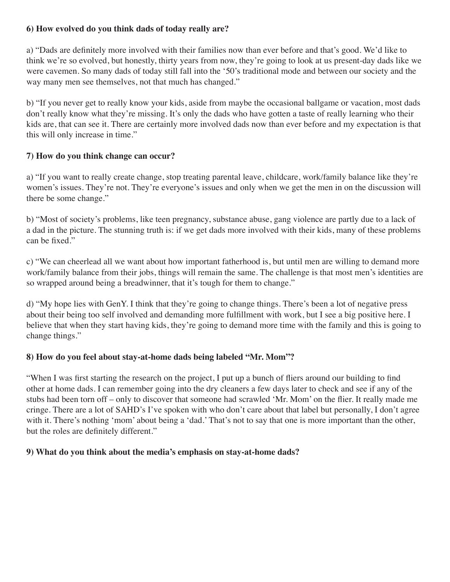#### **6) How evolved do you think dads of today really are?**

a) "Dads are definitely more involved with their families now than ever before and that's good. We'd like to think we're so evolved, but honestly, thirty years from now, they're going to look at us present-day dads like we were cavemen. So many dads of today still fall into the '50's traditional mode and between our society and the way many men see themselves, not that much has changed."

b) "If you never get to really know your kids, aside from maybe the occasional ballgame or vacation, most dads don't really know what they're missing. It's only the dads who have gotten a taste of really learning who their kids are, that can see it. There are certainly more involved dads now than ever before and my expectation is that this will only increase in time."

## **7) How do you think change can occur?**

a) "If you want to really create change, stop treating parental leave, childcare, work/family balance like they're women's issues. They're not. They're everyone's issues and only when we get the men in on the discussion will there be some change."

b) "Most of society's problems, like teen pregnancy, substance abuse, gang violence are partly due to a lack of a dad in the picture. The stunning truth is: if we get dads more involved with their kids, many of these problems can be fixed."

c) "We can cheerlead all we want about how important fatherhood is, but until men are willing to demand more work/family balance from their jobs, things will remain the same. The challenge is that most men's identities are so wrapped around being a breadwinner, that it's tough for them to change."

d) "My hope lies with GenY. I think that they're going to change things. There's been a lot of negative press about their being too self involved and demanding more fulfillment with work, but I see a big positive here. I believe that when they start having kids, they're going to demand more time with the family and this is going to change things."

#### **8) How do you feel about stay-at-home dads being labeled "Mr. Mom"?**

"When I was first starting the research on the project, I put up a bunch of fliers around our building to find other at home dads. I can remember going into the dry cleaners a few days later to check and see if any of the stubs had been torn off – only to discover that someone had scrawled 'Mr. Mom' on the flier. It really made me cringe. There are a lot of SAHD's I've spoken with who don't care about that label but personally, I don't agree with it. There's nothing 'mom' about being a 'dad.' That's not to say that one is more important than the other, but the roles are definitely different."

#### **9) What do you think about the media's emphasis on stay-at-home dads?**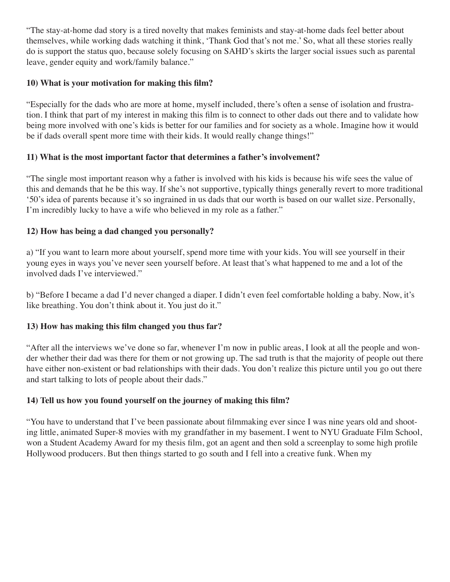"The stay-at-home dad story is a tired novelty that makes feminists and stay-at-home dads feel better about themselves, while working dads watching it think, 'Thank God that's not me.' So, what all these stories really do is support the status quo, because solely focusing on SAHD's skirts the larger social issues such as parental leave, gender equity and work/family balance."

## **10) What is your motivation for making this film?**

"Especially for the dads who are more at home, myself included, there's often a sense of isolation and frustration. I think that part of my interest in making this film is to connect to other dads out there and to validate how being more involved with one's kids is better for our families and for society as a whole. Imagine how it would be if dads overall spent more time with their kids. It would really change things!"

# **11) What is the most important factor that determines a father's involvement?**

"The single most important reason why a father is involved with his kids is because his wife sees the value of this and demands that he be this way. If she's not supportive, typically things generally revert to more traditional '50's idea of parents because it's so ingrained in us dads that our worth is based on our wallet size. Personally, I'm incredibly lucky to have a wife who believed in my role as a father."

## **12) How has being a dad changed you personally?**

a) "If you want to learn more about yourself, spend more time with your kids. You will see yourself in their young eyes in ways you've never seen yourself before. At least that's what happened to me and a lot of the involved dads I've interviewed."

b) "Before I became a dad I'd never changed a diaper. I didn't even feel comfortable holding a baby. Now, it's like breathing. You don't think about it. You just do it."

# **13) How has making this film changed you thus far?**

"After all the interviews we've done so far, whenever I'm now in public areas, I look at all the people and wonder whether their dad was there for them or not growing up. The sad truth is that the majority of people out there have either non-existent or bad relationships with their dads. You don't realize this picture until you go out there and start talking to lots of people about their dads."

#### **14) Tell us how you found yourself on the journey of making this film?**

"You have to understand that I've been passionate about filmmaking ever since I was nine years old and shooting little, animated Super-8 movies with my grandfather in my basement. I went to NYU Graduate Film School, won a Student Academy Award for my thesis film, got an agent and then sold a screenplay to some high profile Hollywood producers. But then things started to go south and I fell into a creative funk. When my